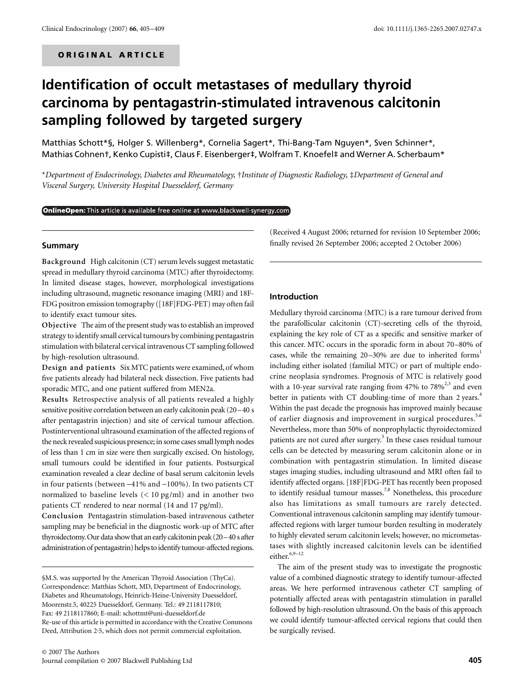# **Identification of occult metastases of medullary thyroid carcinoma by pentagastrin-stimulated intravenous calcitonin sampling followed by targeted surgery**

Matthias Schott\*§, Holger S. Willenberg\*, Cornelia Sagert\*, Thi-Bang-Tam Nguyen\*, Sven Schinner\*, Mathias Cohnent, Kenko Cupisti‡, Claus F. Eisenberger‡, Wolfram T. Knoefel‡ and Werner A. Scherbaum\*

\**Department of Endocrinology, Diabetes and Rheumatology,* †*Institute of Diagnostic Radiology,* ‡*Department of General and Visceral Surgery, University Hospital Duesseldorf, Germany* 

#### **OnlineOpen:** This article is available free online at www.blackwell-synergy.com

#### **Summary**

**Background** High calcitonin (CT) serum levels suggest metastatic spread in medullary thyroid carcinoma (MTC) after thyroidectomy. In limited disease stages, however, morphological investigations including ultrasound, magnetic resonance imaging (MRI) and 18F-FDG positron emission tomography ([18F]FDG-PET) may often fail to identify exact tumour sites.

**Objective** The aim of the present study was to establish an improved strategy to identify small cervical tumours by combining pentagastrin stimulation with bilateral cervical intravenous CT sampling followed by high-resolution ultrasound.

**Design and patients** Six MTC patients were examined, of whom five patients already had bilateral neck dissection. Five patients had sporadic MTC, and one patient suffered from MEN2a.

**Results** Retrospective analysis of all patients revealed a highly sensitive positive correlation between an early calcitonin peak (20–40 s after pentagastrin injection) and site of cervical tumour affection. Postinterventional ultrasound examination of the affected regions of the neck revealed suspicious presence; in some cases small lymph nodes of less than 1 cm in size were then surgically excised. On histology, small tumours could be identified in four patients. Postsurgical examination revealed a clear decline of basal serum calcitonin levels in four patients (between −41% and −100%). In two patients CT normalized to baseline levels (< 10 pg/ml) and in another two patients CT rendered to near normal (14 and 17 pg/ml).

**Conclusion** Pentagastrin stimulation-based intravenous catheter sampling may be beneficial in the diagnostic work-up of MTC after thyroidectomy. Our data show that an early calcitonin peak (20–40 s after administration of pentagastrin) helps to identify tumour-affected regions.

(Received 4 August 2006; returned for revision 10 September 2006; finally revised 26 September 2006; accepted 2 October 2006)

#### **Introduction**

Medullary thyroid carcinoma (MTC) is a rare tumour derived from the parafollicular calcitonin (CT)-secreting cells of the thyroid, explaining the key role of CT as a specific and sensitive marker of this cancer. MTC occurs in the sporadic form in about 70–80% of cases, while the remaining  $20-30%$  are due to inherited forms<sup>1</sup> including either isolated (familial MTC) or part of multiple endocrine neoplasia syndromes. Prognosis of MTC is relatively good with a 10-year survival rate ranging from 47% to  $78\%^{2,3}$  and even better in patients with CT doubling-time of more than 2 years.<sup>4</sup> Within the past decade the prognosis has improved mainly because of earlier diagnosis and improvement in surgical procedures.<sup>5,6</sup> Nevertheless, more than 50% of nonprophylactic thyroidectomized patients are not cured after surgery.<sup>5</sup> In these cases residual tumour cells can be detected by measuring serum calcitonin alone or in combination with pentagastrin stimulation. In limited disease stages imaging studies, including ultrasound and MRI often fail to identify affected organs. [18F]FDG-PET has recently been proposed to identify residual tumour masses.<sup>7,8</sup> Nonetheless, this procedure also has limitations as small tumours are rarely detected. Conventional intravenous calcitonin sampling may identify tumouraffected regions with larger tumour burden resulting in moderately to highly elevated serum calcitonin levels; however, no micrometastases with slightly increased calcitonin levels can be identified either. $6,9-12$ 

The aim of the present study was to investigate the prognostic value of a combined diagnostic strategy to identify tumour-affected areas. We here performed intravenous catheter CT sampling of potentially affected areas with pentagastrin stimulation in parallel followed by high-resolution ultrasound. On the basis of this approach we could identify tumour-affected cervical regions that could then be surgically revised.

<sup>§</sup>M.S. was supported by the American Thyroid Association (ThyCa). Correspondence: Matthias Schott, MD, Department of Endocrinology, Diabetes and Rheumatology, Heinrich-Heine-University Duesseldorf, Moorenstr.5, 40225 Duesseldorf, Germany. Tel.: 49 2118117810; Fax: 49 2118117860; E-mail: schottmt@uni-duesseldorf.de Re-use of this article is permitted in accordance with the Creative Commons Deed, Attribution 2·5, which does not permit commercial exploitation.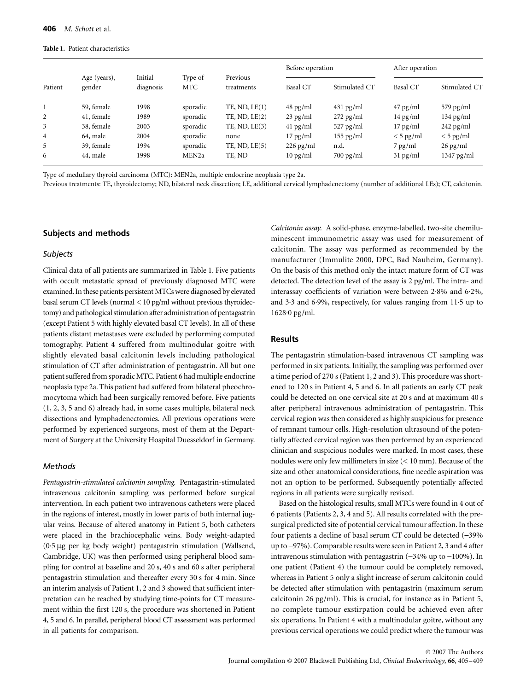#### **Table 1.** Patient characteristics

| Patient        | Age (years),<br>gender | Initial<br>diagnosis | Type of<br><b>MTC</b> | Previous<br>treatments | Before operation   |                     | After operation    |                     |
|----------------|------------------------|----------------------|-----------------------|------------------------|--------------------|---------------------|--------------------|---------------------|
|                |                        |                      |                       |                        | Basal CT           | Stimulated CT       | Basal CT           | Stimulated CT       |
|                | 59, female             | 1998                 | sporadic              | $TE$ , ND, $LE(1)$     | $48 \text{ pg/ml}$ | $431 \text{ pg/ml}$ | $47 \text{ pg/ml}$ | $579$ pg/ml         |
| 2              | 41, female             | 1989                 | sporadic              | $TE$ , ND, $LE(2)$     | $23$ pg/ml         | $272$ pg/ml         | $14 \text{ pg/ml}$ | $134 \text{ pg/ml}$ |
| 3              | 38, female             | 2003                 | sporadic              | $TE$ , ND, $LE(3)$     | $41$ pg/ml         | $527$ pg/ml         | $17$ pg/ml         | $242$ pg/ml         |
| $\overline{4}$ | 64, male               | 2004                 | sporadic              | none                   | $17 \text{ pg/ml}$ | $155$ pg/ml         | $<$ 5 pg/ml        | $<$ 5 pg/ml         |
| 5              | 39, female             | 1994                 | sporadic              | $TE$ , ND, $LE(5)$     | $226$ pg/ml        | n.d.                | $7$ pg/ml          | $26$ pg/ml          |
| 6              | 44, male               | 1998                 | MEN <sub>2a</sub>     | TE, ND                 | $10 \text{ pg/ml}$ | $700 \text{ pg/ml}$ | $31$ pg/ml         | $1347$ pg/ml        |

Type of medullary thyroid carcinoma (MTC): MEN2a, multiple endocrine neoplasia type 2a.

Previous treatments: TE, thyroidectomy; ND, bilateral neck dissection; LE, additional cervical lymphadenectomy (number of additional LEs); CT, calcitonin.

## **Subjects and methods**

## *Subjects*

Clinical data of all patients are summarized in Table 1. Five patients with occult metastatic spread of previously diagnosed MTC were examined. In these patients persistent MTCs were diagnosed by elevated basal serum CT levels (normal < 10 pg/ml without previous thyroidectomy) and pathological stimulation after administration of pentagastrin (except Patient 5 with highly elevated basal CT levels). In all of these patients distant metastases were excluded by performing computed tomography. Patient 4 suffered from multinodular goitre with slightly elevated basal calcitonin levels including pathological stimulation of CT after administration of pentagastrin. All but one patient suffered from sporadic MTC. Patient 6 had multiple endocrine neoplasia type 2a. This patient had suffered from bilateral pheochromocytoma which had been surgically removed before. Five patients (1, 2, 3, 5 and 6) already had, in some cases multiple, bilateral neck dissections and lymphadenectomies. All previous operations were performed by experienced surgeons, most of them at the Department of Surgery at the University Hospital Duesseldorf in Germany.

## *Methods*

*Pentagastrin-stimulated calcitonin sampling.* Pentagastrin-stimulated intravenous calcitonin sampling was performed before surgical intervention. In each patient two intravenous catheters were placed in the regions of interest, mostly in lower parts of both internal jugular veins. Because of altered anatomy in Patient 5, both catheters were placed in the brachiocephalic veins. Body weight-adapted (0·5 µg per kg body weight) pentagastrin stimulation (Wallsend, Cambridge, UK) was then performed using peripheral blood sampling for control at baseline and 20 s, 40 s and 60 s after peripheral pentagastrin stimulation and thereafter every 30 s for 4 min. Since an interim analysis of Patient 1, 2 and 3 showed that sufficient interpretation can be reached by studying time-points for CT measurement within the first 120 s, the procedure was shortened in Patient 4, 5 and 6. In parallel, peripheral blood CT assessment was performed in all patients for comparison.

*Calcitonin assay.* A solid-phase, enzyme-labelled, two-site chemiluminescent immunometric assay was used for measurement of calcitonin. The assay was performed as recommended by the manufacturer (Immulite 2000, DPC, Bad Nauheim, Germany). On the basis of this method only the intact mature form of CT was detected. The detection level of the assay is 2 pg/ml. The intra- and interassay coefficients of variation were between 2·8% and 6·2%, and 3·3 and 6·9%, respectively, for values ranging from 11·5 up to 1628·0 pg/ml.

# **Results**

The pentagastrin stimulation-based intravenous CT sampling was performed in six patients. Initially, the sampling was performed over a time period of 270 s (Patient 1, 2 and 3). This procedure was shortened to 120 s in Patient 4, 5 and 6. In all patients an early CT peak could be detected on one cervical site at 20 s and at maximum 40 s after peripheral intravenous administration of pentagastrin. This cervical region was then considered as highly suspicious for presence of remnant tumour cells. High-resolution ultrasound of the potentially affected cervical region was then performed by an experienced clinician and suspicious nodules were marked. In most cases, these nodules were only few millimeters in size (< 10 mm). Because of the size and other anatomical considerations, fine needle aspiration was not an option to be performed. Subsequently potentially affected regions in all patients were surgically revised.

Based on the histological results, small MTCs were found in 4 out of 6 patients (Patients 2, 3, 4 and 5). All results correlated with the presurgical predicted site of potential cervical tumour affection. In these four patients a decline of basal serum CT could be detected (−39% up to −97%). Comparable results were seen in Patient 2, 3 and 4 after intravenous stimulation with pentagastrin (−34% up to −100%). In one patient (Patient 4) the tumour could be completely removed, whereas in Patient 5 only a slight increase of serum calcitonin could be detected after stimulation with pentagastrin (maximum serum calcitonin 26 pg/ml). This is crucial, for instance as in Patient 5, no complete tumour exstirpation could be achieved even after six operations. In Patient 4 with a multinodular goitre, without any previous cervical operations we could predict where the tumour was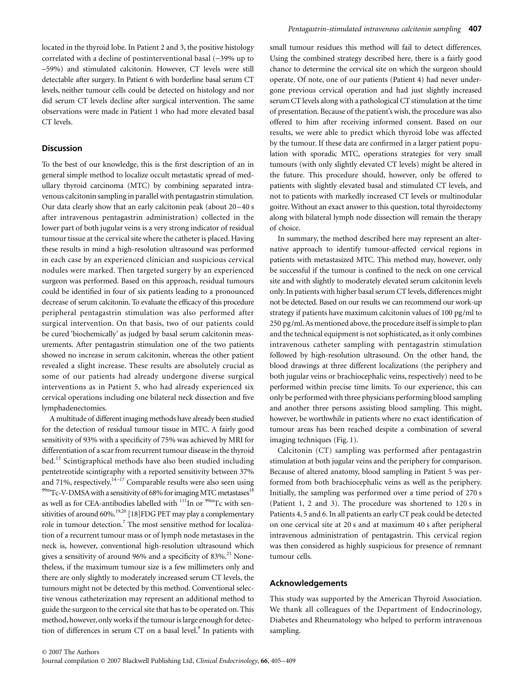located in the thyroid lobe. In Patient 2 and 3, the positive histology correlated with a decline of postinterventional basal (−39% up to −59%) and stimulated calcitonin. However, CT levels were still detectable after surgery. In Patient 6 with borderline basal serum CT levels, neither tumour cells could be detected on histology and nor did serum CT levels decline after surgical intervention. The same observations were made in Patient 1 who had more elevated basal CT levels.

### **Discussion**

To the best of our knowledge, this is the first description of an in general simple method to localize occult metastatic spread of medullary thyroid carcinoma (MTC) by combining separated intravenous calcitonin sampling in parallel with pentagastrin stimulation. Our data clearly show that an early calcitonin peak (about 20–40 s after intravenous pentagastrin administration) collected in the lower part of both jugular veins is a very strong indicator of residual tumour tissue at the cervical site where the catheter is placed. Having these results in mind a high-resolution ultrasound was performed in each case by an experienced clinician and suspicious cervical nodules were marked. Then targeted surgery by an experienced surgeon was performed. Based on this approach, residual tumours could be identified in four of six patients leading to a pronounced decrease of serum calcitonin. To evaluate the efficacy of this procedure peripheral pentagastrin stimulation was also performed after surgical intervention. On that basis, two of our patients could be cured 'biochemically' as judged by basal serum calcitonin measurements. After pentagastrin stimulation one of the two patients showed no increase in serum calcitonin, whereas the other patient revealed a slight increase. These results are absolutely crucial as some of our patients had already undergone diverse surgical interventions as in Patient 5, who had already experienced six cervical operations including one bilateral neck dissection and five lymphadenectomies.

A multitude of different imaging methods have already been studied for the detection of residual tumour tissue in MTC. A fairly good sensitivity of 93% with a specificity of 75% was achieved by MRI for differentiation of a scar from recurrent tumour disease in the thyroid bed.<sup>13</sup> Scintigraphical methods have also been studied including pentetreotide scintigraphy with a reported sensitivity between 37% and 71%, respectively. $14-17$  Comparable results were also seen using  $^{99m}$ Tc-V-DMSA with a sensitivity of 68% for imaging MTC metastases<sup>18</sup> as well as for CEA-antibodies labelled with  $^{111}$ In or  $^{99m}$ Tc with sensitivities of around 60%.<sup>19,20</sup> [18]FDG PET may play a complementary role in tumour detection.<sup>7</sup> The most sensitive method for localization of a recurrent tumour mass or of lymph node metastases in the neck is, however, conventional high-resolution ultrasound which gives a sensitivity of around 96% and a specificity of 83%.<sup>21</sup> Nonetheless, if the maximum tumour size is a few millimeters only and there are only slightly to moderately increased serum CT levels, the tumours might not be detected by this method. Conventional selective venous catheterization may represent an additional method to guide the surgeon to the cervical site that has to be operated on. This method, however, only works if the tumour is large enough for detection of differences in serum CT on a basal level.<sup>9</sup> In patients with

small tumour residues this method will fail to detect differences. Using the combined strategy described here, there is a fairly good chance to determine the cervical site on which the surgeon should operate. Of note, one of our patients (Patient 4) had never undergone previous cervical operation and had just slightly increased serum CT levels along with a pathological CT stimulation at the time of presentation. Because of the patient's wish, the procedure was also offered to him after receiving informed consent. Based on our results, we were able to predict which thyroid lobe was affected by the tumour. If these data are confirmed in a larger patient population with sporadic MTC, operations strategies for very small tumours (with only slightly elevated CT levels) might be altered in the future. This procedure should, however, only be offered to patients with slightly elevated basal and stimulated CT levels, and not to patients with markedly increased CT levels or multinodular goitre. Without an exact answer to this question, total thyroidectomy along with bilateral lymph node dissection will remain the therapy of choice.

In summary, the method described here may represent an alternative approach to identify tumour-affected cervical regions in patients with metastasized MTC. This method may, however, only be successful if the tumour is confined to the neck on one cervical site and with slightly to moderately elevated serum calcitonin levels only. In patients with higher basal serum CT levels, differences might not be detected. Based on our results we can recommend our work-up strategy if patients have maximum calcitonin values of 100 pg/ml to 250 pg/ml. As mentioned above, the procedure itself is simple to plan and the technical equipment is not sophisticated, as it only combines intravenous catheter sampling with pentagastrin stimulation followed by high-resolution ultrasound. On the other hand, the blood drawings at three different localizations (the periphery and both jugular veins or brachiocephalic veins, respectively) need to be performed within precise time limits. To our experience, this can only be performed with three physicians performing blood sampling and another three persons assisting blood sampling. This might, however, be worthwhile in patients where no exact identification of tumour areas has been reached despite a combination of several imaging techniques (Fig. 1).

Calcitonin (CT) sampling was performed after pentagastrin stimulation at both jugular veins and the periphery for comparison. Because of altered anatomy, blood sampling in Patient 5 was performed from both brachiocephalic veins as well as the periphery. Initially, the sampling was performed over a time period of 270 s (Patient 1, 2 and 3). The procedure was shortened to 120 s in Patients 4, 5 and 6. In all patients an early CT peak could be detected on one cervical site at 20 s and at maximum 40 s after peripheral intravenous administration of pentagastrin. This cervical region was then considered as highly suspicious for presence of remnant tumour cells.

## **Acknowledgements**

This study was supported by the American Thyroid Association. We thank all colleagues of the Department of Endocrinology, Diabetes and Rheumatology who helped to perform intravenous sampling.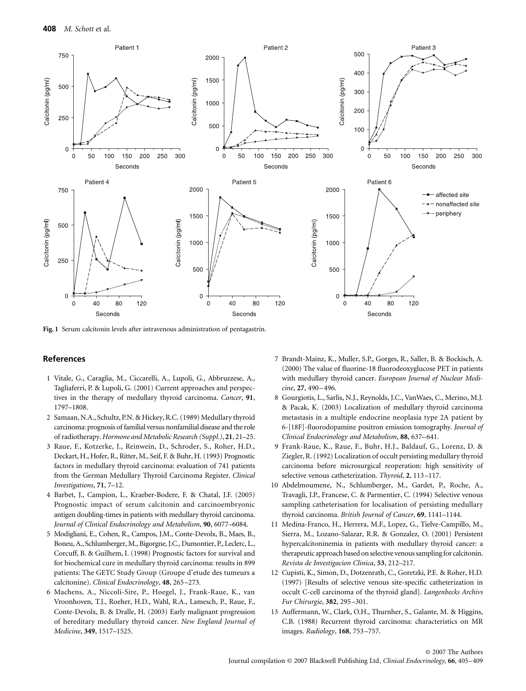

**Fig. 1** Serum calcitonin levels after intravenous administration of pentagastrin.

## **References**

- 1 Vitale, G., Caraglia, M., Ciccarelli, A., Lupoli, G., Abbruzzese, A., Tagliaferri, P. & Lupoli, G. (2001) Current approaches and perspectives in the therapy of medullary thyroid carcinoma. *Cancer*, **91**, 1797–1808.
- 2 Samaan, N.A., Schultz, P.N. & Hickey, R.C. (1989) Medullary thyroid carcinoma: prognosis of familial versus nonfamilial disease and the role of radiotherapy. *Hormone and Metabolic Research (Suppl.)*, **21**, 21–25.
- 3 Raue, F., Kotzerke, J., Reinwein, D., Schroder, S., Roher, H.D., Deckart, H., Hofer, R., Ritter, M., Seif, F. & Buhr, H. (1993) Prognostic factors in medullary thyroid carcinoma: evaluation of 741 patients from the German Medullary Thyroid Carcinoma Register. *Clinical Investigations*, **71**, 7–12.
- 4 Barbet, J., Campion, L., Kraeber-Bodere, F. & Chatal, J.F. (2005) Prognostic impact of serum calcitonin and carcinoembryonic antigen doubling-times in patients with medullary thyroid carcinoma. *Journal of Clinical Endocrinology and Metabolism*, **90**, 6077–6084.
- 5 Modigliani, E., Cohen, R., Campos, J.M., Conte-Devolx, B., Maes, B., Boneu, A., Schlumberger, M., Bigorgne, J.C., Dumontier, P., Leclerc, L., Corcuff, B. & Guilhem, I. (1998) Prognostic factors for survival and for biochemical cure in medullary thyroid carcinoma: results in 899 patients: The GETC Study Group (Groupe d'etude des tumeurs a calcitonine). *Clinical Endocrinology*, **48**, 265–273.
- 6 Machens, A., Niccoli-Sire, P., Hoegel, J., Frank-Raue, K., van Vroonhoven, T.J., Roeher, H.D., Wahl, R.A., Lamesch, P., Raue, F., Conte-Devolx, B. & Dralle, H. (2003) Early malignant progression of hereditary medullary thyroid cancer. *New England Journal of Medicine*, **349**, 1517–1525.
- 7 Brandt-Mainz, K., Muller, S.P., Gorges, R., Saller, B. & Bockisch, A. (2000) The value of fluorine-18 fluorodeoxyglucose PET in patients with medullary thyroid cancer. *European Journal of Nuclear Medicine*, **27**, 490–496.
- 8 Gourgiotis, L., Sarlis, N.J., Reynolds, J.C., VanWaes, C., Merino, M.J. & Pacak, K. (2003) Localization of medullary thyroid carcinoma metastasis in a multiple endocrine neoplasia type 2A patient by 6-[18F]-fluorodopamine positron emission tomography. *Journal of Clinical Endocrinology and Metabolism*, **88**, 637–641.
- 9 Frank-Raue, K., Raue, F., Buhr, H.J., Baldauf, G., Lorenz, D. & Ziegler, R. (1992) Localization of occult persisting medullary thyroid carcinoma before microsurgical reoperation: high sensitivity of selective venous catheterization. *Thyroid*, **2**, 113–117.
- 10 Abdelmoumene, N., Schlumberger, M., Gardet, P., Roche, A., Travagli, J.P., Francese, C. & Parmentier, C. (1994) Selective venous sampling catheterisation for localisation of persisting medullary thyroid carcinoma. *British Journal of Cancer*, **69**, 1141–1144.
- 11 Medina-Franco, H., Herrera, M.F., Lopez, G., Tielve-Campillo, M., Sierra, M., Lozano-Salazar, R.R. & Gonzalez, O. (2001) Persistent hypercalcitoninemia in patients with medullary thyroid cancer: a therapeutic approach based on selective venous sampling for calcitonin. *Revista de Investigacion Clinica*, **53**, 212–217.
- 12 Cupisti, K., Simon, D., Dotzenrath, C., Goretzki, P.E. & Roher, H.D. (1997) [Results of selective venous site-specific catheterization in occult C-cell carcinoma of the thyroid gland]. *Langenbecks Archivs Fur Chirurgie*, **382**, 295–301.
- 13 Auffermann, W., Clark, O.H., Thurnher, S., Galante, M. & Higgins, C.B. (1988) Recurrent thyroid carcinoma: characteristics on MR images. *Radiology*, **168**, 753–757.